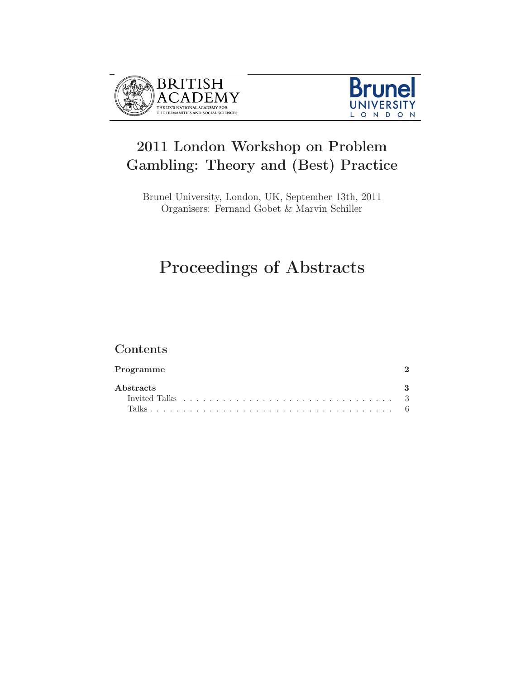



## 2011 London Workshop on Problem Gambling: Theory and (Best) Practice

Brunel University, London, UK, September 13th, 2011 Organisers: Fernand Gobet & Marvin Schiller

# Proceedings of Abstracts

## Contents

| Programme                                                                                                                |  |  |  |  |  |  |  |  |  |  |  |  |  |  |  |
|--------------------------------------------------------------------------------------------------------------------------|--|--|--|--|--|--|--|--|--|--|--|--|--|--|--|
| <b>A</b> bstracts<br>Invited Talks $\ldots \ldots \ldots \ldots \ldots \ldots \ldots \ldots \ldots \ldots \ldots \ldots$ |  |  |  |  |  |  |  |  |  |  |  |  |  |  |  |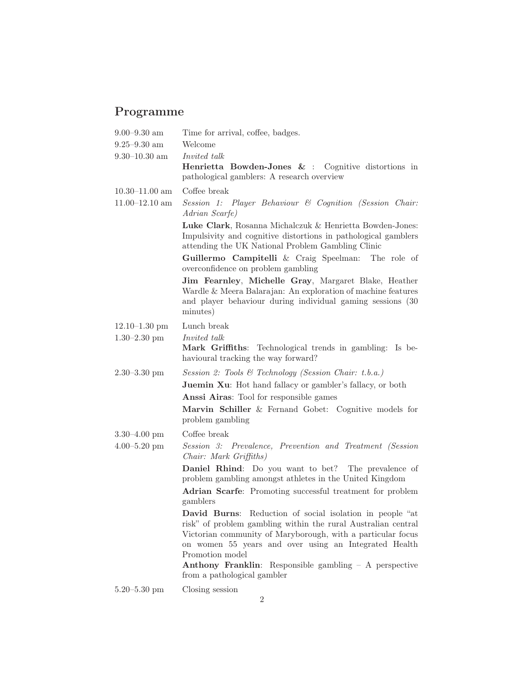## Programme

| $9.00 - 9.30$ am       | Time for arrival, coffee, badges.                                                                                                                                                                                                                                                                                                                             |  |  |  |  |  |  |  |  |  |  |
|------------------------|---------------------------------------------------------------------------------------------------------------------------------------------------------------------------------------------------------------------------------------------------------------------------------------------------------------------------------------------------------------|--|--|--|--|--|--|--|--|--|--|
| $9.25\text{--}9.30$ am | Welcome                                                                                                                                                                                                                                                                                                                                                       |  |  |  |  |  |  |  |  |  |  |
| $9.30 - 10.30$ am      | <i>Invited talk</i>                                                                                                                                                                                                                                                                                                                                           |  |  |  |  |  |  |  |  |  |  |
|                        | Henrietta Bowden-Jones & : Cognitive distortions in<br>pathological gamblers: A research overview                                                                                                                                                                                                                                                             |  |  |  |  |  |  |  |  |  |  |
| $10.30 - 11.00$ am     | Coffee break                                                                                                                                                                                                                                                                                                                                                  |  |  |  |  |  |  |  |  |  |  |
| $11.00 - 12.10$ am     | Session 1: Player Behaviour & Cognition (Session Chair:<br>Adrian Scarfe)                                                                                                                                                                                                                                                                                     |  |  |  |  |  |  |  |  |  |  |
|                        | Luke Clark, Rosanna Michalczuk & Henrietta Bowden-Jones:<br>Impulsivity and cognitive distortions in pathological gamblers<br>attending the UK National Problem Gambling Clinic                                                                                                                                                                               |  |  |  |  |  |  |  |  |  |  |
|                        | Guillermo Campitelli & Craig Speelman: The role of<br>overconfidence on problem gambling                                                                                                                                                                                                                                                                      |  |  |  |  |  |  |  |  |  |  |
|                        | Jim Fearnley, Michelle Gray, Margaret Blake, Heather<br>Wardle & Meera Balarajan: An exploration of machine features<br>and player behaviour during individual gaming sessions (30)<br>minutes)                                                                                                                                                               |  |  |  |  |  |  |  |  |  |  |
| $12.10 - 1.30$ pm      | Lunch break                                                                                                                                                                                                                                                                                                                                                   |  |  |  |  |  |  |  |  |  |  |
| $1.30 - 2.30$ pm       | <i>Invited talk</i>                                                                                                                                                                                                                                                                                                                                           |  |  |  |  |  |  |  |  |  |  |
|                        | Mark Griffiths: Technological trends in gambling: Is be-<br>havioural tracking the way forward?                                                                                                                                                                                                                                                               |  |  |  |  |  |  |  |  |  |  |
| $2.30 - 3.30$ pm       | Session 2: Tools & Technology (Session Chair: t.b.a.)                                                                                                                                                                                                                                                                                                         |  |  |  |  |  |  |  |  |  |  |
|                        | <b>Juemin Xu:</b> Hot hand fallacy or gambler's fallacy, or both                                                                                                                                                                                                                                                                                              |  |  |  |  |  |  |  |  |  |  |
|                        | <b>Anssi Airas:</b> Tool for responsible games                                                                                                                                                                                                                                                                                                                |  |  |  |  |  |  |  |  |  |  |
|                        | Marvin Schiller & Fernand Gobet: Cognitive models for<br>problem gambling                                                                                                                                                                                                                                                                                     |  |  |  |  |  |  |  |  |  |  |
| $3.30 - 4.00$ pm       | Coffee break                                                                                                                                                                                                                                                                                                                                                  |  |  |  |  |  |  |  |  |  |  |
| $4.00 - 5.20$ pm       | Session 3: Prevalence, Prevention and Treatment (Session<br>Chair: Mark Griffiths)                                                                                                                                                                                                                                                                            |  |  |  |  |  |  |  |  |  |  |
|                        | Daniel Rhind: Do you want to bet? The prevalence of<br>problem gambling amongst athletes in the United Kingdom                                                                                                                                                                                                                                                |  |  |  |  |  |  |  |  |  |  |
|                        | Adrian Scarfe: Promoting successful treatment for problem<br>gamblers                                                                                                                                                                                                                                                                                         |  |  |  |  |  |  |  |  |  |  |
|                        | David Burns: Reduction of social isolation in people "at<br>risk" of problem gambling within the rural Australian central<br>Victorian community of Maryborough, with a particular focus<br>on women 55 years and over using an Integrated Health<br>Promotion model<br>Anthony Franklin: Responsible gambling - A perspective<br>from a pathological gambler |  |  |  |  |  |  |  |  |  |  |
| $5.20 - 5.30$ pm       | Closing session                                                                                                                                                                                                                                                                                                                                               |  |  |  |  |  |  |  |  |  |  |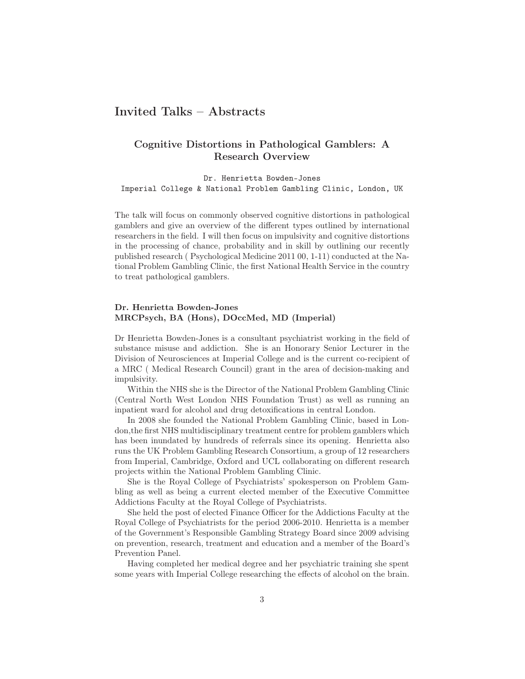## Invited Talks – Abstracts

### Cognitive Distortions in Pathological Gamblers: A Research Overview

Dr. Henrietta Bowden-Jones Imperial College & National Problem Gambling Clinic, London, UK

The talk will focus on commonly observed cognitive distortions in pathological gamblers and give an overview of the different types outlined by international researchers in the field. I will then focus on impulsivity and cognitive distortions in the processing of chance, probability and in skill by outlining our recently published research ( Psychological Medicine 2011 00, 1-11) conducted at the National Problem Gambling Clinic, the first National Health Service in the country to treat pathological gamblers.

#### Dr. Henrietta Bowden-Jones MRCPsych, BA (Hons), DOccMed, MD (Imperial)

Dr Henrietta Bowden-Jones is a consultant psychiatrist working in the field of substance misuse and addiction. She is an Honorary Senior Lecturer in the Division of Neurosciences at Imperial College and is the current co-recipient of a MRC ( Medical Research Council) grant in the area of decision-making and impulsivity.

Within the NHS she is the Director of the National Problem Gambling Clinic (Central North West London NHS Foundation Trust) as well as running an inpatient ward for alcohol and drug detoxifications in central London.

In 2008 she founded the National Problem Gambling Clinic, based in London,the first NHS multidisciplinary treatment centre for problem gamblers which has been inundated by hundreds of referrals since its opening. Henrietta also runs the UK Problem Gambling Research Consortium, a group of 12 researchers from Imperial, Cambridge, Oxford and UCL collaborating on different research projects within the National Problem Gambling Clinic.

She is the Royal College of Psychiatrists' spokesperson on Problem Gambling as well as being a current elected member of the Executive Committee Addictions Faculty at the Royal College of Psychiatrists.

She held the post of elected Finance Officer for the Addictions Faculty at the Royal College of Psychiatrists for the period 2006-2010. Henrietta is a member of the Government's Responsible Gambling Strategy Board since 2009 advising on prevention, research, treatment and education and a member of the Board's Prevention Panel.

Having completed her medical degree and her psychiatric training she spent some years with Imperial College researching the effects of alcohol on the brain.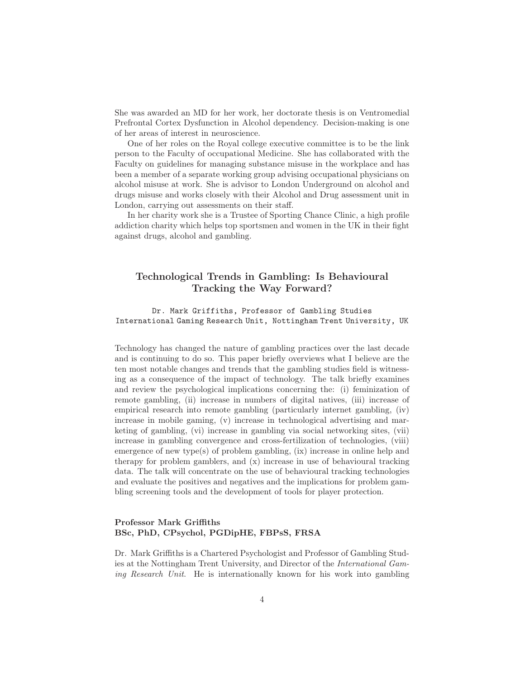She was awarded an MD for her work, her doctorate thesis is on Ventromedial Prefrontal Cortex Dysfunction in Alcohol dependency. Decision-making is one of her areas of interest in neuroscience.

One of her roles on the Royal college executive committee is to be the link person to the Faculty of occupational Medicine. She has collaborated with the Faculty on guidelines for managing substance misuse in the workplace and has been a member of a separate working group advising occupational physicians on alcohol misuse at work. She is advisor to London Underground on alcohol and drugs misuse and works closely with their Alcohol and Drug assessment unit in London, carrying out assessments on their staff.

In her charity work she is a Trustee of Sporting Chance Clinic, a high profile addiction charity which helps top sportsmen and women in the UK in their fight against drugs, alcohol and gambling.

## Technological Trends in Gambling: Is Behavioural Tracking the Way Forward?

Dr. Mark Griffiths, Professor of Gambling Studies International Gaming Research Unit, Nottingham Trent University, UK

Technology has changed the nature of gambling practices over the last decade and is continuing to do so. This paper briefly overviews what I believe are the ten most notable changes and trends that the gambling studies field is witnessing as a consequence of the impact of technology. The talk briefly examines and review the psychological implications concerning the: (i) feminization of remote gambling, (ii) increase in numbers of digital natives, (iii) increase of empirical research into remote gambling (particularly internet gambling, (iv) increase in mobile gaming, (v) increase in technological advertising and marketing of gambling, (vi) increase in gambling via social networking sites, (vii) increase in gambling convergence and cross-fertilization of technologies, (viii) emergence of new type(s) of problem gambling,  $(ix)$  increase in online help and therapy for problem gamblers, and (x) increase in use of behavioural tracking data. The talk will concentrate on the use of behavioural tracking technologies and evaluate the positives and negatives and the implications for problem gambling screening tools and the development of tools for player protection.

#### Professor Mark Griffiths BSc, PhD, CPsychol, PGDipHE, FBPsS, FRSA

Dr. Mark Griffiths is a Chartered Psychologist and Professor of Gambling Studies at the Nottingham Trent University, and Director of the International Gaming Research Unit. He is internationally known for his work into gambling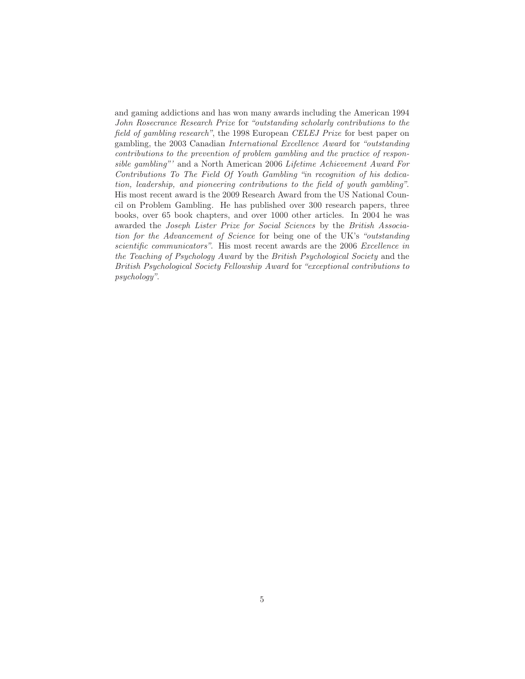and gaming addictions and has won many awards including the American 1994 John Rosecrance Research Prize for "outstanding scholarly contributions to the field of gambling research", the 1998 European CELEJ Prize for best paper on gambling, the 2003 Canadian International Excellence Award for "outstanding contributions to the prevention of problem gambling and the practice of responsible gambling"' and a North American 2006 Lifetime Achievement Award For Contributions To The Field Of Youth Gambling "in recognition of his dedication, leadership, and pioneering contributions to the field of youth gambling". His most recent award is the 2009 Research Award from the US National Council on Problem Gambling. He has published over 300 research papers, three books, over 65 book chapters, and over 1000 other articles. In 2004 he was awarded the Joseph Lister Prize for Social Sciences by the British Association for the Advancement of Science for being one of the UK's "outstanding scientific communicators". His most recent awards are the 2006 Excellence in the Teaching of Psychology Award by the British Psychological Society and the British Psychological Society Fellowship Award for "exceptional contributions to psychology".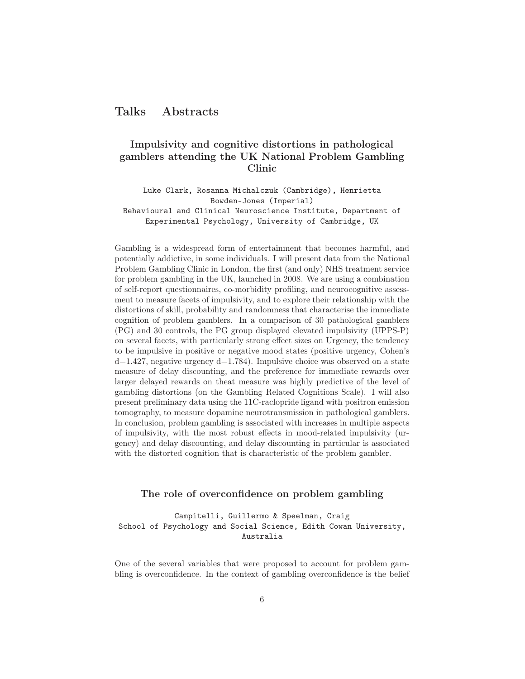## Talks – Abstracts

## Impulsivity and cognitive distortions in pathological gamblers attending the UK National Problem Gambling Clinic

Luke Clark, Rosanna Michalczuk (Cambridge), Henrietta Bowden-Jones (Imperial) Behavioural and Clinical Neuroscience Institute, Department of Experimental Psychology, University of Cambridge, UK

Gambling is a widespread form of entertainment that becomes harmful, and potentially addictive, in some individuals. I will present data from the National Problem Gambling Clinic in London, the first (and only) NHS treatment service for problem gambling in the UK, launched in 2008. We are using a combination of self-report questionnaires, co-morbidity profiling, and neurocognitive assessment to measure facets of impulsivity, and to explore their relationship with the distortions of skill, probability and randomness that characterise the immediate cognition of problem gamblers. In a comparison of 30 pathological gamblers (PG) and 30 controls, the PG group displayed elevated impulsivity (UPPS-P) on several facets, with particularly strong effect sizes on Urgency, the tendency to be impulsive in positive or negative mood states (positive urgency, Cohen's  $d=1.427$ , negative urgency  $d=1.784$ ). Impulsive choice was observed on a state measure of delay discounting, and the preference for immediate rewards over larger delayed rewards on theat measure was highly predictive of the level of gambling distortions (on the Gambling Related Cognitions Scale). I will also present preliminary data using the 11C-raclopride ligand with positron emission tomography, to measure dopamine neurotransmission in pathological gamblers. In conclusion, problem gambling is associated with increases in multiple aspects of impulsivity, with the most robust effects in mood-related impulsivity (urgency) and delay discounting, and delay discounting in particular is associated with the distorted cognition that is characteristic of the problem gambler.

#### The role of overconfidence on problem gambling

Campitelli, Guillermo & Speelman, Craig School of Psychology and Social Science, Edith Cowan University, Australia

One of the several variables that were proposed to account for problem gambling is overconfidence. In the context of gambling overconfidence is the belief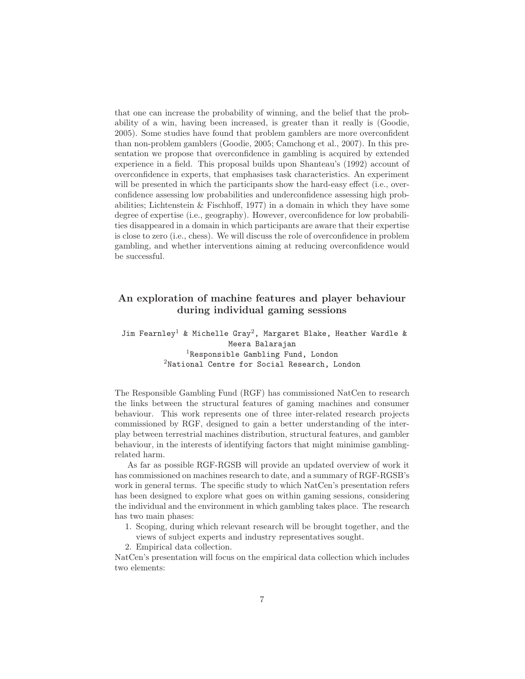that one can increase the probability of winning, and the belief that the probability of a win, having been increased, is greater than it really is (Goodie, 2005). Some studies have found that problem gamblers are more overconfident than non-problem gamblers (Goodie, 2005; Camchong et al., 2007). In this presentation we propose that overconfidence in gambling is acquired by extended experience in a field. This proposal builds upon Shanteau's (1992) account of overconfidence in experts, that emphasises task characteristics. An experiment will be presented in which the participants show the hard-easy effect (i.e., overconfidence assessing low probabilities and underconfidence assessing high probabilities; Lichtenstein  $\&$  Fischhoff, 1977) in a domain in which they have some degree of expertise (i.e., geography). However, overconfidence for low probabilities disappeared in a domain in which participants are aware that their expertise is close to zero (i.e., chess). We will discuss the role of overconfidence in problem gambling, and whether interventions aiming at reducing overconfidence would be successful.

### An exploration of machine features and player behaviour during individual gaming sessions

Jim Fearnley<sup>1</sup> & Michelle Gray<sup>2</sup>, Margaret Blake, Heather Wardle & Meera Balarajan <sup>1</sup>Responsible Gambling Fund, London <sup>2</sup>National Centre for Social Research, London

The Responsible Gambling Fund (RGF) has commissioned NatCen to research the links between the structural features of gaming machines and consumer behaviour. This work represents one of three inter-related research projects commissioned by RGF, designed to gain a better understanding of the interplay between terrestrial machines distribution, structural features, and gambler behaviour, in the interests of identifying factors that might minimise gamblingrelated harm.

As far as possible RGF-RGSB will provide an updated overview of work it has commissioned on machines research to date, and a summary of RGF-RGSB's work in general terms. The specific study to which NatCen's presentation refers has been designed to explore what goes on within gaming sessions, considering the individual and the environment in which gambling takes place. The research has two main phases:

- 1. Scoping, during which relevant research will be brought together, and the views of subject experts and industry representatives sought.
- 2. Empirical data collection.

NatCen's presentation will focus on the empirical data collection which includes two elements: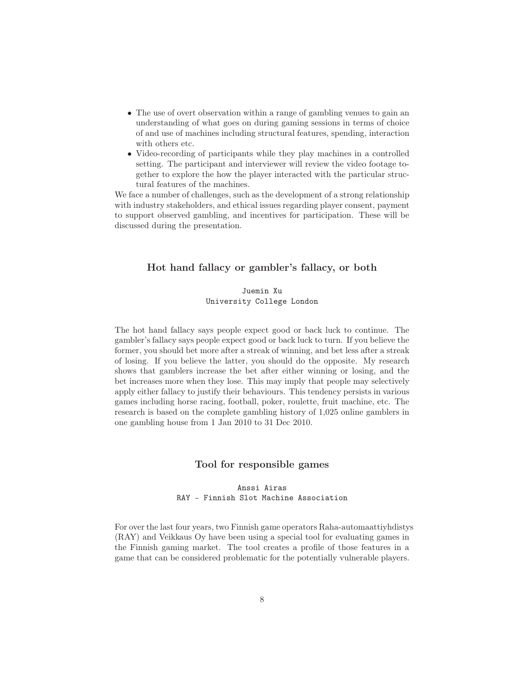- The use of overt observation within a range of gambling venues to gain an understanding of what goes on during gaming sessions in terms of choice of and use of machines including structural features, spending, interaction with others etc.
- Video-recording of participants while they play machines in a controlled setting. The participant and interviewer will review the video footage together to explore the how the player interacted with the particular structural features of the machines.

We face a number of challenges, such as the development of a strong relationship with industry stakeholders, and ethical issues regarding player consent, payment to support observed gambling, and incentives for participation. These will be discussed during the presentation.

#### Hot hand fallacy or gambler's fallacy, or both

#### Juemin Xu University College London

The hot hand fallacy says people expect good or back luck to continue. The gambler's fallacy says people expect good or back luck to turn. If you believe the former, you should bet more after a streak of winning, and bet less after a streak of losing. If you believe the latter, you should do the opposite. My research shows that gamblers increase the bet after either winning or losing, and the bet increases more when they lose. This may imply that people may selectively apply either fallacy to justify their behaviours. This tendency persists in various games including horse racing, football, poker, roulette, fruit machine, etc. The research is based on the complete gambling history of 1,025 online gamblers in one gambling house from 1 Jan 2010 to 31 Dec 2010.

#### Tool for responsible games

#### Anssi Airas RAY - Finnish Slot Machine Association

For over the last four years, two Finnish game operators Raha-automaattiyhdistys (RAY) and Veikkaus Oy have been using a special tool for evaluating games in the Finnish gaming market. The tool creates a profile of those features in a game that can be considered problematic for the potentially vulnerable players.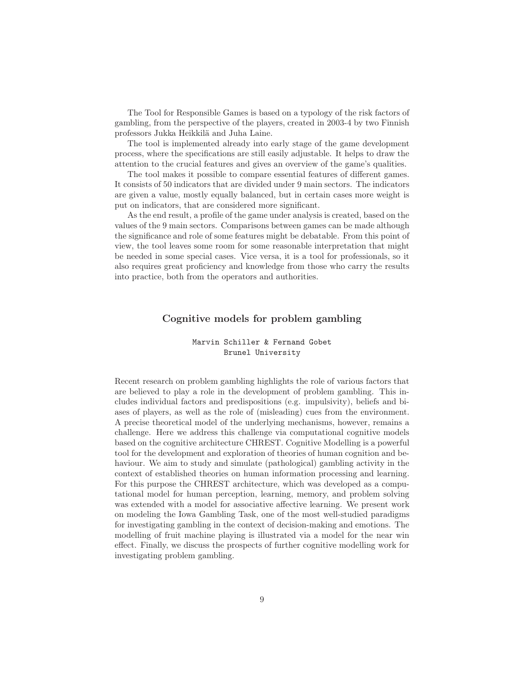The Tool for Responsible Games is based on a typology of the risk factors of gambling, from the perspective of the players, created in 2003-4 by two Finnish professors Jukka Heikkilä and Juha Laine.

The tool is implemented already into early stage of the game development process, where the specifications are still easily adjustable. It helps to draw the attention to the crucial features and gives an overview of the game's qualities.

The tool makes it possible to compare essential features of different games. It consists of 50 indicators that are divided under 9 main sectors. The indicators are given a value, mostly equally balanced, but in certain cases more weight is put on indicators, that are considered more significant.

As the end result, a profile of the game under analysis is created, based on the values of the 9 main sectors. Comparisons between games can be made although the significance and role of some features might be debatable. From this point of view, the tool leaves some room for some reasonable interpretation that might be needed in some special cases. Vice versa, it is a tool for professionals, so it also requires great proficiency and knowledge from those who carry the results into practice, both from the operators and authorities.

#### Cognitive models for problem gambling

#### Marvin Schiller & Fernand Gobet Brunel University

Recent research on problem gambling highlights the role of various factors that are believed to play a role in the development of problem gambling. This includes individual factors and predispositions (e.g. impulsivity), beliefs and biases of players, as well as the role of (misleading) cues from the environment. A precise theoretical model of the underlying mechanisms, however, remains a challenge. Here we address this challenge via computational cognitive models based on the cognitive architecture CHREST. Cognitive Modelling is a powerful tool for the development and exploration of theories of human cognition and behaviour. We aim to study and simulate (pathological) gambling activity in the context of established theories on human information processing and learning. For this purpose the CHREST architecture, which was developed as a computational model for human perception, learning, memory, and problem solving was extended with a model for associative affective learning. We present work on modeling the Iowa Gambling Task, one of the most well-studied paradigms for investigating gambling in the context of decision-making and emotions. The modelling of fruit machine playing is illustrated via a model for the near win effect. Finally, we discuss the prospects of further cognitive modelling work for investigating problem gambling.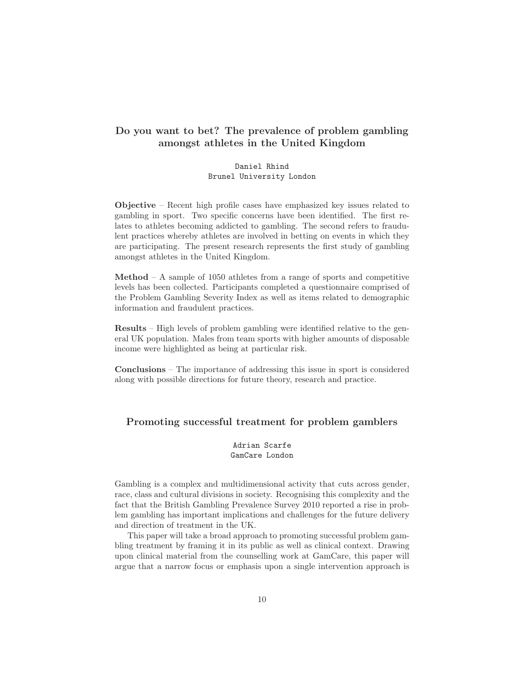## Do you want to bet? The prevalence of problem gambling amongst athletes in the United Kingdom

Daniel Rhind Brunel University London

Objective – Recent high profile cases have emphasized key issues related to gambling in sport. Two specific concerns have been identified. The first relates to athletes becoming addicted to gambling. The second refers to fraudulent practices whereby athletes are involved in betting on events in which they are participating. The present research represents the first study of gambling amongst athletes in the United Kingdom.

Method – A sample of 1050 athletes from a range of sports and competitive levels has been collected. Participants completed a questionnaire comprised of the Problem Gambling Severity Index as well as items related to demographic information and fraudulent practices.

Results – High levels of problem gambling were identified relative to the general UK population. Males from team sports with higher amounts of disposable income were highlighted as being at particular risk.

Conclusions – The importance of addressing this issue in sport is considered along with possible directions for future theory, research and practice.

#### Promoting successful treatment for problem gamblers

Adrian Scarfe GamCare London

Gambling is a complex and multidimensional activity that cuts across gender, race, class and cultural divisions in society. Recognising this complexity and the fact that the British Gambling Prevalence Survey 2010 reported a rise in problem gambling has important implications and challenges for the future delivery and direction of treatment in the UK.

This paper will take a broad approach to promoting successful problem gambling treatment by framing it in its public as well as clinical context. Drawing upon clinical material from the counselling work at GamCare, this paper will argue that a narrow focus or emphasis upon a single intervention approach is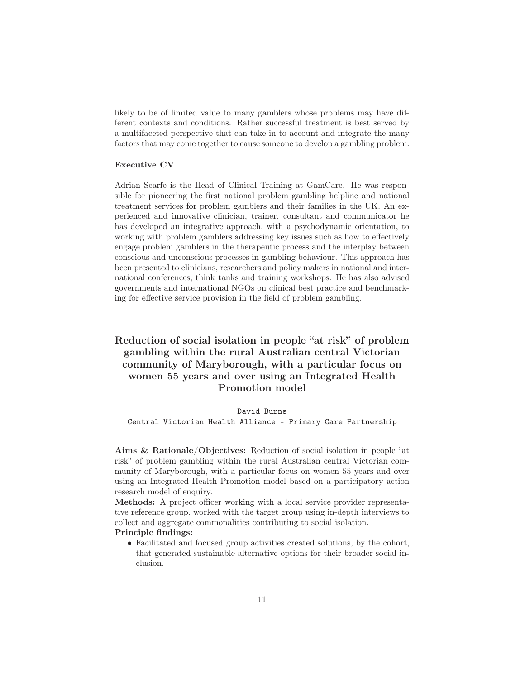likely to be of limited value to many gamblers whose problems may have different contexts and conditions. Rather successful treatment is best served by a multifaceted perspective that can take in to account and integrate the many factors that may come together to cause someone to develop a gambling problem.

#### Executive CV

Adrian Scarfe is the Head of Clinical Training at GamCare. He was responsible for pioneering the first national problem gambling helpline and national treatment services for problem gamblers and their families in the UK. An experienced and innovative clinician, trainer, consultant and communicator he has developed an integrative approach, with a psychodynamic orientation, to working with problem gamblers addressing key issues such as how to effectively engage problem gamblers in the therapeutic process and the interplay between conscious and unconscious processes in gambling behaviour. This approach has been presented to clinicians, researchers and policy makers in national and international conferences, think tanks and training workshops. He has also advised governments and international NGOs on clinical best practice and benchmarking for effective service provision in the field of problem gambling.

## Reduction of social isolation in people "at risk" of problem gambling within the rural Australian central Victorian community of Maryborough, with a particular focus on women 55 years and over using an Integrated Health Promotion model

David Burns Central Victorian Health Alliance – Primary Care Partnership

Aims & Rationale/Objectives: Reduction of social isolation in people "at risk" of problem gambling within the rural Australian central Victorian community of Maryborough, with a particular focus on women 55 years and over using an Integrated Health Promotion model based on a participatory action research model of enquiry.

Methods: A project officer working with a local service provider representative reference group, worked with the target group using in-depth interviews to collect and aggregate commonalities contributing to social isolation.

#### Principle findings:

• Facilitated and focused group activities created solutions, by the cohort, that generated sustainable alternative options for their broader social inclusion.